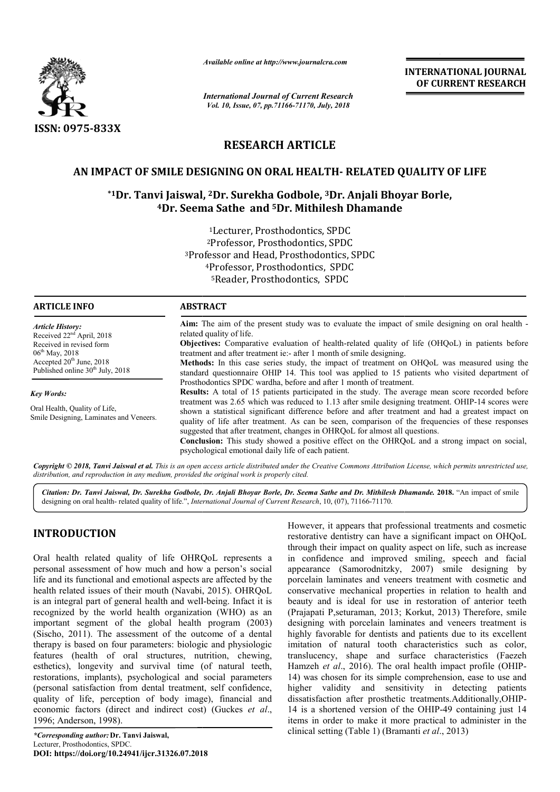

*Available online at http://www.journalcra.com*

*International Journal of Current Research Vol. 10, Issue, 07, pp.71166-71170, July, 2018*

**INTERNATIONAL JOURNAL OF CURRENT RESEARCH**

# **RESEARCH ARTICLE**

# **AN IMPACT OF SMILE DESIGNING ON ORAL HEALTH HEALTH- RELATED QUALITY OF LIFE**

# $*$ 1Dr. Tanvi Jaiswal, <sup>2</sup>Dr. Surekha Godbole, <sup>3</sup>Dr. Anjali Bhoyar Borle, **4Dr. Seema Sathe Dr. and 5Dr. Mithilesh Dhamande**

3Professor Professor and Head, Prosthodontics, SPDC 1Lecturer, Prosthodontics, SPDC 2Professor, Prosthodontics, SPDC 4Professor, Prosthodontics, SPDC 5Reader, Prosthodontics, SPDC

| .                                                                        |                                                                                                                                                                                                                                                                                                                                                                                             |  |  |  |  |  |
|--------------------------------------------------------------------------|---------------------------------------------------------------------------------------------------------------------------------------------------------------------------------------------------------------------------------------------------------------------------------------------------------------------------------------------------------------------------------------------|--|--|--|--|--|
| <b>Article History:</b><br>Received $22nd$ April, 2018                   | Aim: The aim of the present study was to evaluate the impact of smile designing on oral health -<br>related quality of life.                                                                                                                                                                                                                                                                |  |  |  |  |  |
| Received in revised form<br>$06^{\text{th}}$ May, 2018                   | Objectives: Comparative evaluation of health-related quality of life (OHQoL) in patients before<br>treatment and after treatment ie:- after 1 month of smile designing.                                                                                                                                                                                                                     |  |  |  |  |  |
| Accepted $20th$ June, 2018<br>Published online $30th$ July, 2018         | <b>Methods:</b> In this case series study, the impact of treatment on OHQoL was measured using the<br>standard questionnaire OHIP 14. This tool was applied to 15 patients who visited department of                                                                                                                                                                                        |  |  |  |  |  |
|                                                                          | Prosthodontics SPDC wardha, before and after 1 month of treatment.                                                                                                                                                                                                                                                                                                                          |  |  |  |  |  |
| <b>Key Words:</b>                                                        | <b>Results:</b> A total of 15 patients participated in the study. The average mean score recorded before                                                                                                                                                                                                                                                                                    |  |  |  |  |  |
| Oral Health, Quality of Life,<br>Smile Designing, Laminates and Veneers. | treatment was 2.65 which was reduced to 1.13 after smile designing treatment. OHIP-14 scores were<br>shown a statistical significant difference before and after treatment and had a greatest impact on<br>quality of life after treatment. As can be seen, comparison of the frequencies of these responses<br>suggested that after treatment, changes in OHRQoL for almost all questions. |  |  |  |  |  |

**Conclusion:** This study showed a positive effect on the OHRQoL and a strong impact on social, psychological emotional daily life of each patient.

Copyright © 2018, Tanvi Jaiswal et al. This is an open access article distributed under the Creative Commons Attribution License, which permits unrestricted use, *distribution, and reproduction in any medium, provided the original work is properly cited.*

Citation: Dr. Tanvi Jaiswal, Dr. Surekha Godbole, Dr. Anjali Bhoyar Borle, Dr. Seema Sathe and Dr. Mithilesh Dhamande. 2018. "An impact of smile designing on oral health- related quality of life.", *International Journal of Current Research*, 10, (07), 71166-71170.

# **INTRODUCTION**

Oral health related quality of life OHRQoL represents a personal assessment of how much and how a person's social life and its functional and emotional aspects are affected by the health related issues of their mouth (Navabi, 2015 , 2015). OHRQoL is an integral part of general health and well-being. Infact it is recognized by the world health organization (WHO) as an important segment of the global health program (2003) (Sischo, 2011). The assessment of the outcome of a dental therapy is based on four parameters: biologic and physiologic therapy is based on four parameters: biologic and physiologic<br>features (health of oral structures, nutrition, chewing, esthetics), longevity and survival time (of natural teeth, restorations, implants), psychological and social parameters (personal satisfaction from dental treatment, self confidence, quality of life, perception of body image), financial and economic factors (direct and indirect cost) (Guckes *et al*., 1996; Anderson, 1998).

**ADTICLE** INEO

However, it appears that professional treatments and cosmetic restorative dentistry can have a significant impact on OHQoL through their impact on quality aspect on life, such as increase in confidence and improved smiling, speech and facial However, it appears that professional treatments and cosmetic<br>restorative dentistry can have a significant impact on OHQoL<br>through their impact on quality aspect on life, such as increase<br>in confidence and improved smiling porcelain laminates and veneers treatment with cosmetic and conservative mechanical properties in relation to health and porcelain laminates and veneers treatment with cosmetic and conservative mechanical properties in relation to health and beauty and is ideal for use in restoration of anterior teeth (Prajapati P,seturaman, 2013; Korkut, 2013) Therefore, smile designing with porcelain laminates and veneers treatment is highly favorable for dentists and patients due to its excellent imitation of natural tooth characteristics such as color, designing with porcelain laminates and veneers treatment is<br>highly favorable for dentists and patients due to its excellent<br>imitation of natural tooth characteristics such as color,<br>translucency, shape and surface characte Hamzeh *et al.*, 2016). The oral health impact profile (OHIP-14) was chosen for its simple comprehension, ease to use and higher validity and sensitivity in detecting patients dissatisfaction after prosthetic treatments.Additionally,OHIP 14 is a shortened version of the OHIP-49 containing just 14 items in order to make it more practical to administer in the clinical setting (Table 1) (Bramanti Bramanti *et al*., 2013) chosen for its simple comprehension, ease to use and validity and sensitivity in detecting patients action after prosthetic treatments.Additionally,OHIP-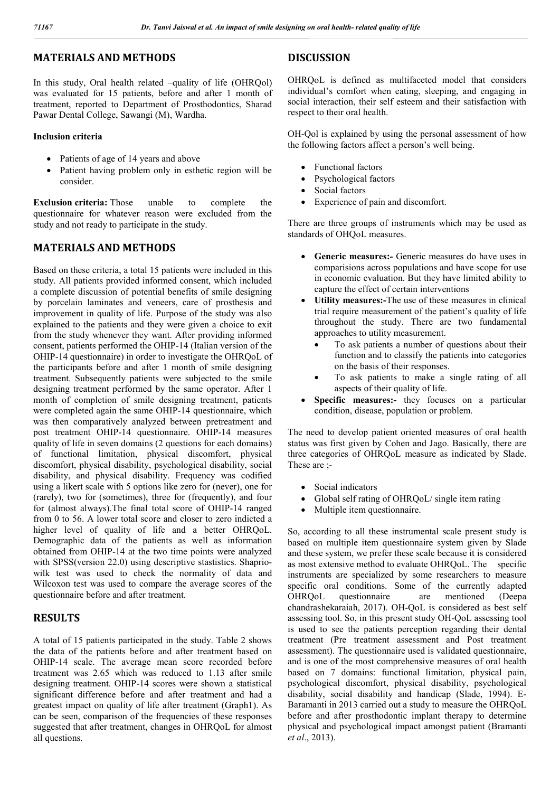## **MATERIALS AND METHODS**

In this study, Oral health related –quality of life (OHRQol) was evaluated for 15 patients, before and after 1 month of treatment, reported to Department of Prosthodontics, Sharad Pawar Dental College, Sawangi (M), Wardha.

### **Inclusion criteria**

- Patients of age of 14 years and above
- Patient having problem only in esthetic region will be consider.

**Exclusion criteria:** Those unable to complete the questionnaire for whatever reason were excluded from the study and not ready to participate in the study.

### **MATERIALS AND METHODS**

Based on these criteria, a total 15 patients were included in this study. All patients provided informed consent, which included a complete discussion of potential benefits of smile designing by porcelain laminates and veneers, care of prosthesis and improvement in quality of life. Purpose of the study was also explained to the patients and they were given a choice to exit from the study whenever they want. After providing informed consent, patients performed the OHIP-14 (Italian version of the OHIP-14 questionnaire) in order to investigate the OHRQoL of the participants before and after 1 month of smile designing treatment. Subsequently patients were subjected to the smile designing treatment performed by the same operator. After 1 month of completion of smile designing treatment, patients were completed again the same OHIP-14 questionnaire, which was then comparatively analyzed between pretreatment and post treatment OHIP-14 questionnaire. OHIP-14 measures quality of life in seven domains (2 questions for each domains) of functional limitation, physical discomfort, physical discomfort, physical disability, psychological disability, social disability, and physical disability. Frequency was codified using a likert scale with 5 options like zero for (never), one for (rarely), two for (sometimes), three for (frequently), and four for (almost always).The final total score of OHIP-14 ranged from 0 to 56. A lower total score and closer to zero indicted a higher level of quality of life and a better OHRQoL. Demographic data of the patients as well as information obtained from OHIP-14 at the two time points were analyzed with SPSS(version 22.0) using descriptive stastistics. Shapriowilk test was used to check the normality of data and Wilcoxon test was used to compare the average scores of the questionnaire before and after treatment.

# **RESULTS**

A total of 15 patients participated in the study. Table 2 shows the data of the patients before and after treatment based on OHIP-14 scale. The average mean score recorded before treatment was 2.65 which was reduced to 1.13 after smile designing treatment. OHIP-14 scores were shown a statistical significant difference before and after treatment and had a greatest impact on quality of life after treatment (Graph1). As can be seen, comparison of the frequencies of these responses suggested that after treatment, changes in OHRQoL for almost all questions.

# **DISCUSSION**

OHRQoL is defined as multifaceted model that considers individual's comfort when eating, sleeping, and engaging in social interaction, their self esteem and their satisfaction with respect to their oral health.

OH-Qol is explained by using the personal assessment of how the following factors affect a person's well being.

- Functional factors
- Psychological factors
- Social factors
- Experience of pain and discomfort.

There are three groups of instruments which may be used as standards of OHQoL measures.

- **Generic measures:-** Generic measures do have uses in comparisions across populations and have scope for use in economic evaluation. But they have limited ability to capture the effect of certain interventions
- **Utility measures:-**The use of these measures in clinical trial require measurement of the patient's quality of life throughout the study. There are two fundamental approaches to utility measurement.
	- To ask patients a number of questions about their function and to classify the patients into categories on the basis of their responses.
	- To ask patients to make a single rating of all aspects of their quality of life.
- **Specific measures:-** they focuses on a particular condition, disease, population or problem.

The need to develop patient oriented measures of oral health status was first given by Cohen and Jago. Basically, there are three categories of OHRQoL measure as indicated by Slade. These are ;-

- Social indicators
- Global self rating of OHRQoL/ single item rating
- Multiple item questionnaire.

So, according to all these instrumental scale present study is based on multiple item questionnaire system given by Slade and these system, we prefer these scale because it is considered as most extensive method to evaluate OHRQoL. The specific instruments are specialized by some researchers to measure specific oral conditions. Some of the currently adapted OHRQoL questionnaire are mentioned (Deepa chandrashekaraiah, 2017). OH-QoL is considered as best self assessing tool. So, in this present study OH-QoL assessing tool is used to see the patients perception regarding their dental treatment (Pre treatment assessment and Post treatment assessment). The questionnaire used is validated questionnaire, and is one of the most comprehensive measures of oral health based on 7 domains: functional limitation, physical pain, psychological discomfort, physical disability, psychological disability, social disability and handicap (Slade, 1994). E-Baramanti in 2013 carried out a study to measure the OHRQoL before and after prosthodontic implant therapy to determine physical and psychological impact amongst patient (Bramanti *et al*., 2013).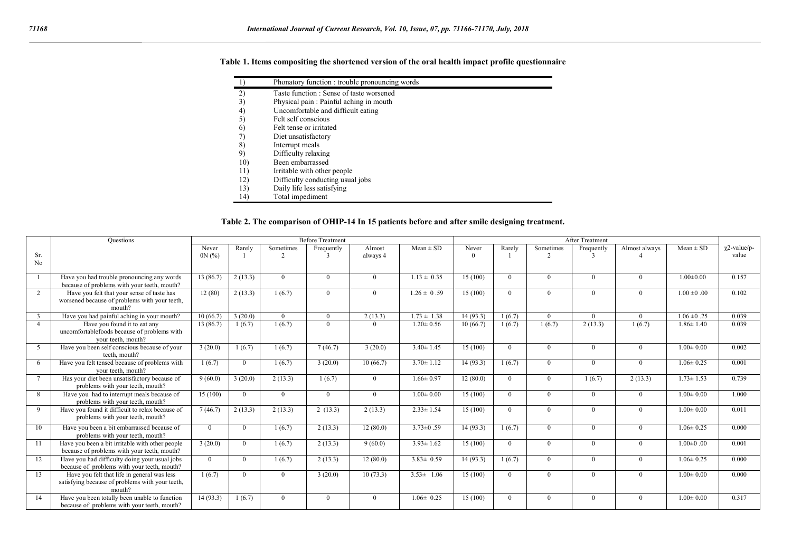| Table 1. Items compositing the shortened version of the oral health impact profile questionnaire |  |  |  |  |
|--------------------------------------------------------------------------------------------------|--|--|--|--|
|                                                                                                  |  |  |  |  |

|     | Phonatory function : trouble pronouncing words |
|-----|------------------------------------------------|
| 2)  | Taste function: Sense of taste worsened        |
| 3)  | Physical pain : Painful aching in mouth        |
| 4)  | Uncomfortable and difficult eating             |
| 5)  | Felt self conscious                            |
| 6)  | Felt tense or irritated                        |
| 71  | Diet unsatisfactory                            |
| 8)  | Interrupt meals                                |
| 9)  | Difficulty relaxing                            |
| 10) | Been embarrassed                               |
| 11) | Irritable with other people                    |
| 12) | Difficulty conducting usual jobs               |
| 13) | Daily life less satisfying                     |
| 14) | Total impediment                               |

### **Table 2. The comparison of OHIP-14 In 15 patients before and after smile designing treatment.**

|          | <b>Questions</b>                                                                                         | <b>Before Treatment</b> |          |                             | After Treatment |                    |                 |                   |          |                       |            |               |                         |                              |
|----------|----------------------------------------------------------------------------------------------------------|-------------------------|----------|-----------------------------|-----------------|--------------------|-----------------|-------------------|----------|-----------------------|------------|---------------|-------------------------|------------------------------|
| Sr.      |                                                                                                          | Never<br>0N(%)          | Rarely   | Sometimes<br>$\overline{2}$ | Frequently      | Almost<br>always 4 | $Mean \pm SD$   | Never<br>$\Omega$ | Rarely   | Sometimes<br>$\gamma$ | Frequently | Almost always | $Mean \pm SD$           | $\gamma$ 2-value/p-<br>value |
| No       |                                                                                                          |                         |          |                             |                 |                    |                 |                   |          |                       |            |               |                         |                              |
|          | Have you had trouble pronouncing any words<br>because of problems with your teeth, mouth?                | 13 (86.7)               | 2(13.3)  | $\Omega$                    | $\Omega$        | $\Omega$           | $1.13 \pm 0.35$ | 15 (100)          | $\Omega$ | $\Omega$              | $\Omega$   | $\Omega$      | $1.00 \pm 0.00$         | 0.157                        |
| 2        | Have you felt that your sense of taste has<br>worsened because of problems with your teeth,<br>mouth?    | 12(80)                  | 2(13.3)  | 1(6.7)                      | $\Omega$        | $\Omega$           | $1.26 \pm 0.59$ | 15(100)           | $\Omega$ | $\Omega$              | $\Omega$   | $\Omega$      | $\overline{1.00}$ ±0.00 | 0.102                        |
| 3        | Have you had painful aching in your mouth?                                                               | 10(66.7)                | 3(20.0)  | $\Omega$                    | $\Omega$        | 2(13.3)            | $1.73 \pm 1.38$ | 14(93.3)          | 1(6.7)   | $\theta$              | $\Omega$   | $\Omega$      | $1.06 \pm 0.25$         | 0.039                        |
| $\Delta$ | Have you found it to eat any<br>uncomfortablefoods because of problems with<br>vour teeth, mouth?        | 13(86.7)                | 1(6.7)   | 1(6.7)                      | $\Omega$        | $\Omega$           | $1.20 \pm 0.56$ | 10(66.7)          | 1(6.7)   | 1(6.7)                | 2(13.3)    | 1(6.7)        | $1.86 \pm 1.40$         | 0.039                        |
| 5        | Have you been self conscious because of your<br>teeth. mouth?                                            | 3(20.0)                 | 1(6.7)   | 1(6.7)                      | 7(46.7)         | 3(20.0)            | $3.40 \pm 1.45$ | 15(100)           | $\Omega$ | $\Omega$              | $\Omega$   | $\Omega$      | $1.00 \pm 0.00$         | 0.002                        |
| -6       | Have you felt tensed because of problems with<br>vour teeth, mouth?                                      | 1(6.7)                  | $\Omega$ | 1(6.7)                      | 3(20.0)         | 10(66.7)           | $3.70 \pm 1.12$ | 14(93.3)          | 1(6.7)   | $\Omega$              | $\Omega$   | $\Omega$      | $1.06 \pm 0.25$         | 0.001                        |
|          | Has your diet been unsatisfactory because of<br>problems with your teeth, mouth?                         | 9(60.0)                 | 3(20.0)  | 2(13.3)                     | 1(6.7)          | $\theta$           | $1.66 \pm 0.97$ | 12(80.0)          | $\Omega$ | $\Omega$              | 1(6.7)     | 2(13.3)       | $1.73 \pm 1.53$         | 0.739                        |
| 8        | Have you had to interrupt meals because of<br>problems with your teeth, mouth?                           | 15(100)                 | $\Omega$ | $\theta$                    | $\Omega$        | $\Omega$           | $1.00 \pm 0.00$ | 15 (100)          | $\Omega$ | $\Omega$              | $\Omega$   | $\Omega$      | $1.00 \pm 0.00$         | 1.000                        |
| 9        | Have you found it difficult to relax because of<br>problems with your teeth, mouth?                      | 7(46.7)                 | 2(13.3)  | 2(13.3)                     | 2(13.3)         | 2(13.3)            | $2.33 \pm 1.54$ | 15(100)           | $\Omega$ | $\Omega$              | $\Omega$   | $\Omega$      | $1.00 \pm 0.00$         | 0.011                        |
| 10       | Have you been a bit embarrassed because of<br>problems with your teeth, mouth?                           | $\Omega$                | $\Omega$ | 1(6.7)                      | 2(13.3)         | 12(80.0)           | $3.73 \pm 0.59$ | 14(93.3)          | 1(6.7)   | $\Omega$              | $\Omega$   | $\Omega$      | $1.06 \pm 0.25$         | 0.000                        |
| 11       | Have you been a bit irritable with other people<br>because of problems with your teeth, mouth?           | 3(20.0)                 | $\Omega$ | 1(6.7)                      | 2(13.3)         | 9(60.0)            | $3.93 \pm 1.62$ | 15(100)           | $\Omega$ | $\Omega$              | $\Omega$   | $\Omega$      | $1.00 \pm 0.00$         | 0.001                        |
| 12       | Have you had difficulty doing your usual jobs<br>because of problems with your teeth, mouth?             | $\Omega$                | $\Omega$ | 1(6.7)                      | 2(13.3)         | 12(80.0)           | $3.83 \pm 0.59$ | 14(93.3)          | 1(6.7)   | $\theta$              | $\Omega$   | $\Omega$      | $1.06 \pm 0.25$         | 0.000                        |
| 13       | Have you felt that life in general was less<br>satisfying because of problems with your teeth.<br>mouth? | 1(6.7)                  | $\Omega$ | $\Omega$                    | 3(20.0)         | 10(73.3)           | $3.53 \pm 1.06$ | 15(100)           | $\Omega$ | $\Omega$              | $\Omega$   | $\Omega$      | $1.00 \pm 0.00$         | 0.000                        |
| 14       | Have you been totally been unable to function<br>because of problems with your teeth, mouth?             | 14(93.3)                | 1(6.7)   | $\Omega$                    | $\Omega$        | $\Omega$           | $1.06 \pm 0.25$ | 15(100)           | $\Omega$ | $\Omega$              | $\Omega$   | $\Omega$      | $1.00 \pm 0.00$         | 0.317                        |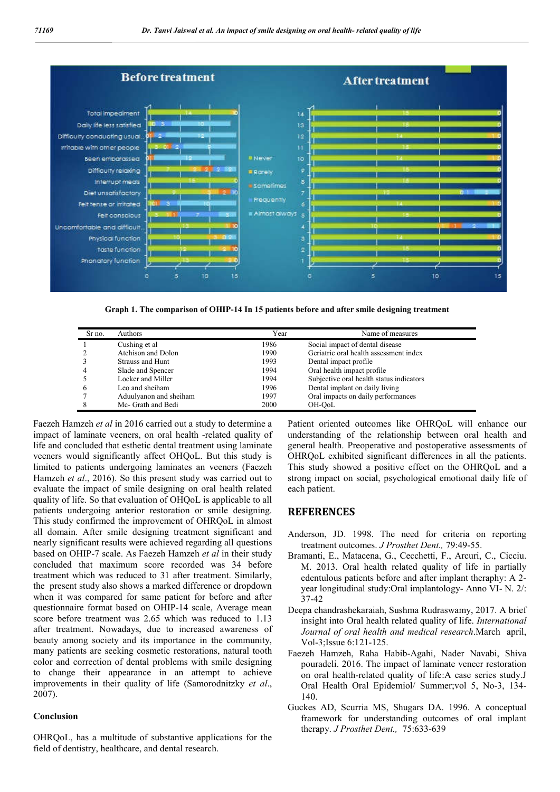

**Graph 1. The comparison of OHIP-14 In 15 patients before and after smile designing treatment**

| Sr no. | Authors                 | Year | Name of measures                         |
|--------|-------------------------|------|------------------------------------------|
|        | Cushing et al           | 1986 | Social impact of dental disease          |
|        | Atchison and Dolon      | 1990 | Geriatric oral health assessment index   |
|        | <b>Strauss and Hunt</b> | 1993 | Dental impact profile                    |
| 4      | Slade and Spencer       | 1994 | Oral health impact profile               |
|        | Locker and Miller       | 1994 | Subjective oral health status indicators |
| b      | Leo and sheiham         | 1996 | Dental implant on daily living           |
|        | Aduulyanon and sheiham  | 1997 | Oral impacts on daily performances       |
|        | Mc- Grath and Bedi      | 2000 | OH-OoL                                   |

Faezeh Hamzeh *et al* in 2016 carried out a study to determine a impact of laminate veeners, on oral health -related quality of life and concluded that esthetic dental treatment using laminate veeners would significantly affect OHQoL. But this study is limited to patients undergoing laminates an veeners (Faezeh Hamzeh *et al*., 2016). So this present study was carried out to evaluate the impact of smile designing on oral health related quality of life. So that evaluation of OHQoL is applicable to all patients undergoing anterior restoration or smile designing. This study confirmed the improvement of OHRQoL in almost all domain. After smile designing treatment significant and nearly significant results were achieved regarding all questions based on OHIP-7 scale. As Faezeh Hamzeh *et al* in their study concluded that maximum score recorded was 34 before treatment which was reduced to 31 after treatment. Similarly, the present study also shows a marked difference or dropdown when it was compared for same patient for before and after questionnaire format based on OHIP-14 scale, Average mean score before treatment was 2.65 which was reduced to 1.13 after treatment. Nowadays, due to increased awareness of beauty among society and its importance in the community, many patients are seeking cosmetic restorations, natural tooth color and correction of dental problems with smile designing to change their appearance in an attempt to achieve improvements in their quality of life (Samorodnitzky *et al*., 2007).

#### **Conclusion**

OHRQoL, has a multitude of substantive applications for the field of dentistry, healthcare, and dental research.

Patient oriented outcomes like OHRQoL will enhance our understanding of the relationship between oral health and general health. Preoperative and postoperative assessments of OHRQoL exhibited significant differences in all the patients. This study showed a positive effect on the OHRQoL and a strong impact on social, psychological emotional daily life of each patient.

#### **REFERENCES**

- Anderson, JD. 1998. The need for criteria on reporting treatment outcomes. *J Prosthet Dent.,* 79:49-55.
- Bramanti, E., Matacena, G., Cecchetti, F., Arcuri, C., Cicciu. M. 2013. Oral health related quality of life in partially edentulous patients before and after implant theraphy: A 2 year longitudinal study:Oral implantology- Anno VI- N. 2/: 37-42
- Deepa chandrashekaraiah, Sushma Rudraswamy, 2017. A brief insight into Oral health related quality of life. *International Journal of oral health and medical research*.March april, Vol-3;Issue 6:121-125.
- Faezeh Hamzeh, Raha Habib-Agahi, Nader Navabi, Shiva pouradeli. 2016. The impact of laminate veneer restoration on oral health-related quality of life:A case series study.J Oral Health Oral Epidemiol/ Summer;vol 5, No-3, 134- 140.
- Guckes AD, Scurria MS, Shugars DA. 1996. A conceptual framework for understanding outcomes of oral implant therapy. *J Prosthet Dent.,* 75:633-639